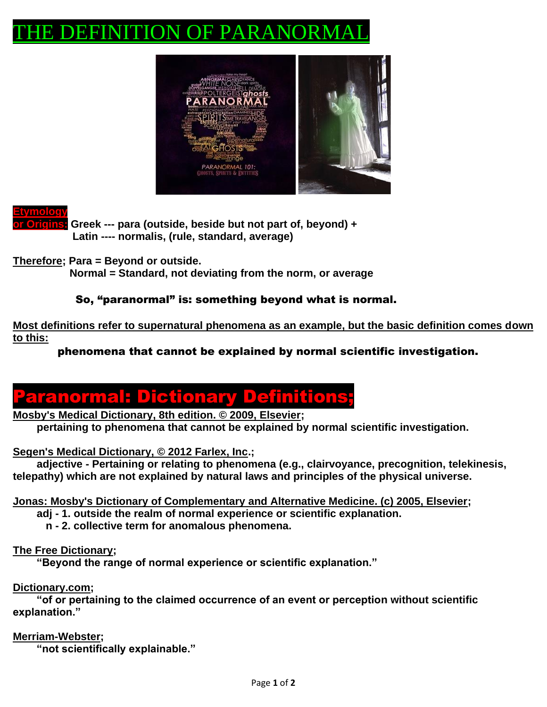# THE DEFINITION OF PARANORMAL



**Etymology**

**or Origins: Greek --- para (outside, beside but not part of, beyond) + Latin ---- normalis, (rule, standard, average)**

**Therefore; Para = Beyond or outside.** 

 **Normal = Standard, not deviating from the norm, or average**

### So, "paranormal" is: something beyond what is normal.

**Most definitions refer to supernatural phenomena as an example, but the basic definition comes down to this:** 

phenomena that cannot be explained by normal scientific investigation.



**Mosby's Medical Dictionary, 8th edition. © 2009, Elsevier; pertaining to phenomena that cannot be explained by normal scientific investigation.** 

**Segen's Medical Dictionary, © 2012 Farlex, Inc.;** 

 **adjective - Pertaining or relating to phenomena (e.g., clairvoyance, precognition, telekinesis, telepathy) which are not explained by natural laws and principles of the physical universe.**

**Jonas: Mosby's Dictionary of Complementary and Alternative Medicine. (c) 2005, Elsevier;** 

 **adj - 1. outside the realm of normal experience or scientific explanation.** 

 **n - 2. collective term for anomalous phenomena.** 

#### **The Free Dictionary;**

 **"Beyond the range of normal experience or scientific explanation."** 

#### **Dictionary.com;**

 **"of or pertaining to the claimed occurrence of an event or perception without scientific explanation."**

**Merriam-Webster;**

 **"not scientifically explainable."**